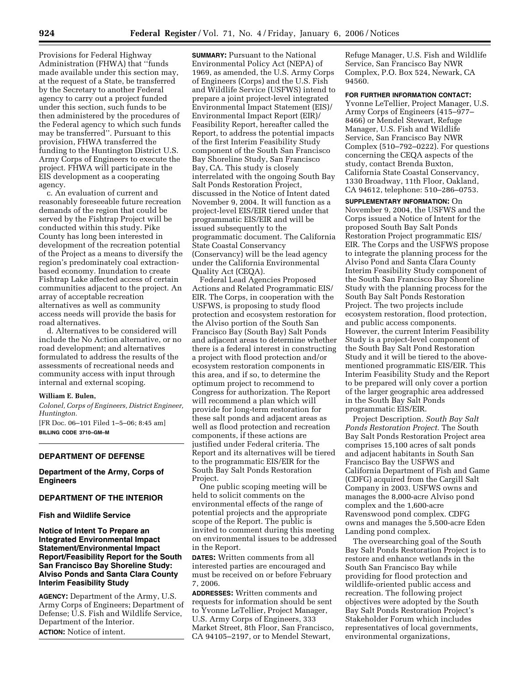Provisions for Federal Highway Administration (FHWA) that ''funds made available under this section may, at the request of a State, be transferred by the Secretary to another Federal agency to carry out a project funded under this section, such funds to be then administered by the procedures of the Federal agency to which such funds may be transferred''. Pursuant to this provision, FHWA transferred the funding to the Huntington District U.S. Army Corps of Engineers to execute the project. FHWA will participate in the EIS development as a cooperating agency.

c. An evaluation of current and reasonably foreseeable future recreation demands of the region that could be served by the Fishtrap Project will be conducted within this study. Pike County has long been interested in development of the recreation potential of the Project as a means to diversify the region's predominately coal extractionbased economy. Inundation to create Fishtrap Lake affected access of certain communities adjacent to the project. An array of acceptable recreation alternatives as well as community access needs will provide the basis for road alternatives.

d. Alternatives to be considered will include the No Action alternative, or no road development; and alternatives formulated to address the results of the assessments of recreational needs and community access with input through internal and external scoping.

#### **William E. Bulen,**

*Colonel, Corps of Engineers, District Engineer, Huntington.* 

[FR Doc. 06–101 Filed 1–5–06; 8:45 am]

**BILLING CODE 3710–GM–M** 

#### **DEPARTMENT OF DEFENSE**

#### **Department of the Army, Corps of Engineers**

#### **DEPARTMENT OF THE INTERIOR**

#### **Fish and Wildlife Service**

## **Notice of Intent To Prepare an Integrated Environmental Impact Statement/Environmental Impact Report/Feasibility Report for the South San Francisco Bay Shoreline Study: Alviso Ponds and Santa Clara County Interim Feasibility Study**

**AGENCY:** Department of the Army, U.S. Army Corps of Engineers; Department of Defense; U.S. Fish and Wildlife Service, Department of the Interior. **ACTION:** Notice of intent.

**SUMMARY:** Pursuant to the National Environmental Policy Act (NEPA) of 1969, as amended, the U.S. Army Corps of Engineers (Corps) and the U.S. Fish and Wildlife Service (USFWS) intend to prepare a joint project-level integrated Environmental Impact Statement (EIS)/ Environmental Impact Report (EIR)/ Feasibility Report, hereafter called the Report, to address the potential impacts of the first Interim Feasibility Study component of the South San Francisco Bay Shoreline Study, San Francisco Bay, CA. This study is closely interrelated with the ongoing South Bay Salt Ponds Restoration Project, discussed in the Notice of Intent dated November 9, 2004. It will function as a project-level EIS/EIR tiered under that programmatic EIS/EIR and will be issued subsequently to the programmatic document. The California State Coastal Conservancy (Conservancy) will be the lead agency under the California Environmental Quality Act (CEQA).

Federal Lead Agencies Proposed Actions and Related Programmatic EIS/ EIR. The Corps, in cooperation with the USFWS, is proposing to study flood protection and ecosystem restoration for the Alviso portion of the South San Francisco Bay (South Bay) Salt Ponds and adjacent areas to determine whether there is a federal interest in constructing a project with flood protection and/or ecosystem restoration components in this area, and if so, to determine the optimum project to recommend to Congress for authorization. The Report will recommend a plan which will provide for long-term restoration for these salt ponds and adjacent areas as well as flood protection and recreation components, if these actions are justified under Federal criteria. The Report and its alternatives will be tiered to the programmatic EIS/EIR for the South Bay Salt Ponds Restoration Project.

One public scoping meeting will be held to solicit comments on the environmental effects of the range of potential projects and the appropriate scope of the Report. The public is invited to comment during this meeting on environmental issues to be addressed in the Report.

**DATES:** Written comments from all interested parties are encouraged and must be received on or before February 7, 2006.

**ADDRESSES:** Written comments and requests for information should be sent to Yvonne LeTellier, Project Manager, U.S. Army Corps of Engineers, 333 Market Street, 8th Floor, San Francisco, CA 94105–2197, or to Mendel Stewart,

Refuge Manager, U.S. Fish and Wildlife Service, San Francisco Bay NWR Complex, P.O. Box 524, Newark, CA 94560.

#### **FOR FURTHER INFORMATION CONTACT:**

Yvonne LeTellier, Project Manager, U.S. Army Corps of Engineers (415–977– 8466) or Mendel Stewart, Refuge Manager, U.S. Fish and Wildlife Service, San Francisco Bay NWR Complex (510–792–0222). For questions concerning the CEQA aspects of the study, contact Brenda Buxton, California State Coastal Conservancy, 1330 Broadway, 11th Floor, Oakland, CA 94612, telephone: 510–286–0753.

**SUPPLEMENTARY INFORMATION:** On November 9, 2004, the USFWS and the Corps issued a Notice of Intent for the proposed South Bay Salt Ponds Restoration Project programmatic EIS/ EIR. The Corps and the USFWS propose to integrate the planning process for the Alviso Pond and Santa Clara County Interim Feasibility Study component of the South San Francisco Bay Shoreline Study with the planning process for the South Bay Salt Ponds Restoration Project. The two projects include ecosystem restoration, flood protection, and public access components. However, the current Interim Feasibility Study is a project-level component of the South Bay Salt Pond Restoration Study and it will be tiered to the abovementioned programmatic EIS/EIR. This Interim Feasibility Study and the Report to be prepared will only cover a portion of the larger geographic area addressed in the South Bay Salt Ponds programmatic EIS/EIR.

Project Description. *South Bay Salt Ponds Restoration Project.* The South Bay Salt Ponds Restoration Project area comprises 15,100 acres of salt ponds and adjacent habitants in South San Francisco Bay the USFWS and California Department of Fish and Game (CDFG) acquired from the Cargill Salt Company in 2003. USFWS owns and manages the 8,000-acre Alviso pond complex and the 1,600-acre Ravenswood pond complex. CDFG owns and manages the 5,500-acre Eden Landing pond complex.

The oversearching goal of the South Bay Salt Ponds Restoration Project is to restore and enhance wetlands in the South San Francisco Bay while providing for flood protection and wildlife-oriented public access and recreation. The following project objectives were adopted by the South Bay Salt Ponds Restoration Project's Stakeholder Forum which includes representatives of local governments, environmental organizations,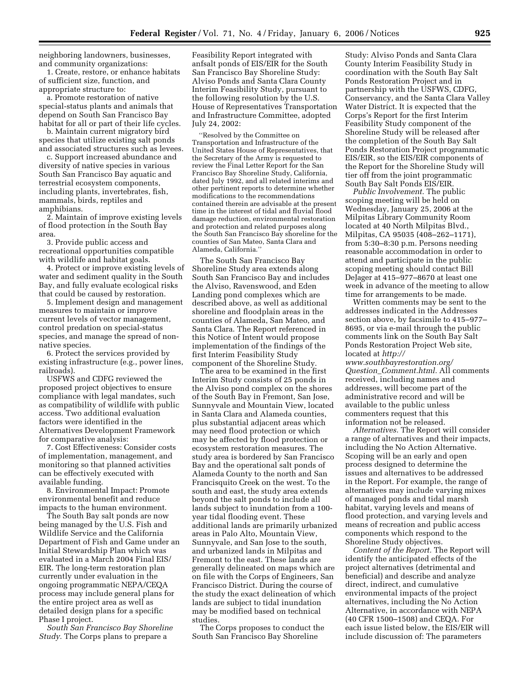neighboring landowners, businesses, and community organizations:

1. Create, restore, or enhance habitats of sufficient size, function, and appropriate structure to:

a. Promote restoration of native special-status plants and animals that depend on South San Francisco Bay habitat for all or part of their life cycles.

b. Maintain current migratory bird species that utilize existing salt ponds and associated structures such as levees.

c. Support increased abundance and diversity of native species in various South San Francisco Bay aquatic and terrestrial ecosystem components, including plants, invertebrates, fish, mammals, birds, reptiles and amphibians.

2. Maintain of improve existing levels of flood protection in the South Bay area.

3. Provide public access and recreational opportunities compatible with wildlife and habitat goals.

4. Protect or improve existing levels of water and sediment quality in the South Bay, and fully evaluate ecological risks that could be caused by restoration.

5. Implement design and management measures to maintain or improve current levels of vector management, control predation on special-status species, and manage the spread of nonnative species.

6. Protect the services provided by existing infrastructure (e.g., power lines, railroads).

USFWS and CDFG reviewed the proposed project objectives to ensure compliance with legal mandates, such as compatibility of wildlife with public access. Two additional evaluation factors were identified in the Alternatives Development Framework for comparative analysis:

7. Cost Effectiveness: Consider costs of implementation, management, and monitoring so that planned activities can be effectively executed with available funding.

8. Environmental Impact: Promote environmental benefit and reduce impacts to the human environment.

The South Bay salt ponds are now being managed by the U.S. Fish and Wildlife Service and the California Department of Fish and Game under an Initial Stewardship Plan which was evaluated in a March 2004 Final EIS/ EIR. The long-term restoration plan currently under evaluation in the ongoing programmatic NEPA/CEQA process may include general plans for the entire project area as well as detailed design plans for a specific Phase I project.

*South San Francisco Bay Shoreline Study.* The Corps plans to prepare a

Feasibility Report integrated with anfsalt ponds of EIS/EIR for the South San Francisco Bay Shoreline Study: Alviso Ponds and Santa Clara County Interim Feasibility Study, pursuant to the following resolution by the U.S. House of Representatives Transportation and Infrastructure Committee, adopted July 24, 2002:

''Resolved by the Committee on Transportation and Infrastructure of the United States House of Representatives, that the Secretary of the Army is requested to review the Final Letter Report for the San Francisco Bay Shoreline Study, California, dated July 1992, and all related interims and other pertinent reports to determine whether modifications to the recommendations contained therein are advisable at the present time in the interest of tidal and fluvial flood damage reduction, environmental restoration and protection and related purposes along the South San Francisco Bay shoreline for the counties of San Mateo, Santa Clara and Alameda, California.''

The South San Francisco Bay Shoreline Study area extends along South San Francisco Bay and includes the Alviso, Ravenswood, and Eden Landing pond complexes which are described above, as well as additional shoreline and floodplain areas in the counties of Alameda, San Mateo, and Santa Clara. The Report referenced in this Notice of Intent would propose implementation of the findings of the first Interim Feasibility Study component of the Shoreline Study.

The area to be examined in the first Interim Study consists of 25 ponds in the Alviso pond complex on the shores of the South Bay in Fremont, San Jose, Sunnyvale and Mountain View, located in Santa Clara and Alameda counties, plus substantial adjacent areas which may need flood protection or which may be affected by flood protection or ecosystem restoration measures. The study area is bordered by San Francisco Bay and the operational salt ponds of Alameda County to the north and San Francisquito Creek on the west. To the south and east, the study area extends beyond the salt ponds to include all lands subject to inundation from a 100 year tidal flooding event. These additional lands are primarily urbanized areas in Palo Alto, Mountain View, Sunnyvale, and San Jose to the south, and urbanized lands in Milpitas and Fremont to the east. These lands are generally delineated on maps which are on file with the Corps of Engineers, San Francisco District. During the course of the study the exact delineation of which lands are subject to tidal inundation may be modified based on technical studies.

The Corps proposes to conduct the South San Francisco Bay Shoreline

Study: Alviso Ponds and Santa Clara County Interim Feasibility Study in coordination with the South Bay Salt Ponds Restoration Project and in partnership with the USFWS, CDFG, Conservancy, and the Santa Clara Valley Water District. It is expected that the Corps's Report for the first Interim Feasibility Study component of the Shoreline Study will be released after the completion of the South Bay Salt Ponds Restoration Project programmatic EIS/EIR, so the EIS/EIR components of the Report for the Shoreline Study will tier off from the joint programmatic South Bay Salt Ponds EIS/EIR.

*Public Involvement.* The public scoping meeting will be held on Wednesday, January 25, 2006 at the Milpitas Library Community Room located at 40 North Milpitas Blvd., Milpitas, CA 95035 (408–262–1171), from 5:30–8:30 p.m. Persons needing reasonable accommodation in order to attend and participate in the public scoping meeting should contact Bill DeJager at 415–977–8670 at least one week in advance of the meeting to allow time for arrangements to be made.

Written comments may be sent to the addresses indicated in the Addresses section above, by facsimile to 415–977– 8695, or via e-mail through the public comments link on the South Bay Salt Ponds Restoration Project Web site, located at *http://* 

*www.southbayrestoration.org/ Question*\_*Comment.html.* All comments received, including names and addresses, will become part of the administrative record and will be available to the public unless commenters request that this information not be released.

*Alternatives.* The Report will consider a range of alternatives and their impacts, including the No Action Alternative. Scoping will be an early and open process designed to determine the issues and alternatives to be addressed in the Report. For example, the range of alternatives may include varying mixes of managed ponds and tidal marsh habitat, varying levels and means of flood protection, and varying levels and means of recreation and public access components which respond to the Shoreline Study objectives.

*Content of the Report.* The Report will identify the anticipated effects of the project alternatives (detrimental and beneficial) and describe and analyze direct, indirect, and cumulative environmental impacts of the project alternatives, including the No Action Alternative, in accordance with NEPA (40 CFR 1500–1508) and CEQA. For each issue listed below, the EIS/EIR will include discussion of: The parameters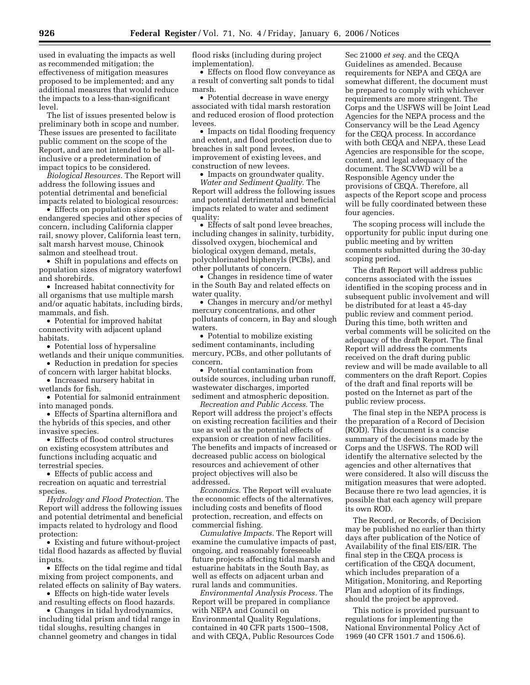used in evaluating the impacts as well as recommended mitigation; the effectiveness of mitigation measures proposed to be implemented; and any additional measures that would reduce the impacts to a less-than-significant level.

The list of issues presented below is preliminary both in scope and number. These issues are presented to facilitate public comment on the scope of the Report, and are not intended to be allinclusive or a predetermination of impact topics to be considered.

*Biological Resources.* The Report will address the following issues and potential detrimental and beneficial impacts related to biological resources:

• Effects on population sizes of endangered species and other species of concern, including California clapper rail, snowy plover, California least tern, salt marsh harvest mouse, Chinook salmon and steelhead trout.

• Shift in populations and effects on population sizes of migratory waterfowl and shorebirds.

• Increased habitat connectivity for all organisms that use multiple marsh and/or aquatic habitats, including birds, mammals, and fish.

• Potential for improved habitat connectivity with adjacent upland habitats.

• Potential loss of hypersaline wetlands and their unique communities.

• Reduction in predation for species of concern with larger habitat blocks.

• Increased nursery habitat in wetlands for fish.

• Potential for salmonid entrainment into managed ponds.

• Effects of Spartina alterniflora and the hybrids of this species, and other invasive species.

• Effects of flood control structures on existing ecosystem attributes and functions including acquatic and terrestrial species.

• Effects of public access and recreation on aquatic and terrestrial species.

*Hydrology and Flood Protection.* The Report will address the following issues and potential detrimental and beneficial impacts related to hydrology and flood protection:

• Existing and future without-project tidal flood hazards as affected by fluvial inputs.

• Effects on the tidal regime and tidal mixing from project components, and related effects on salinity of Bay waters.

• Effects on high-tide water levels and resulting effects on flood hazards.

• Changes in tidal hydrodynamics, including tidal prism and tidal range in

tidal sloughs, resulting changes in channel geometry and changes in tidal flood risks (including during project implementation).

• Effects on flood flow conveyance as a result of converting salt ponds to tidal marsh.

• Potential decrease in wave energy associated with tidal marsh restoration and reduced erosion of flood protection levees.

• Impacts on tidal flooding frequency and extent, and flood protection due to breaches in salt pond levees, improvement of existing levees, and construction of new levees.

• Impacts on groundwater quality.

*Water and Sediment Quality.* The Report will address the following issues and potential detrimental and beneficial impacts related to water and sediment quality:

• Effects of salt pond levee breaches, including changes in salinity, turbidity, dissolved oxygen, biochemical and biological oxygen demand, metals, polychlorinated biphenyls (PCBs), and other pollutants of concern.

• Changes in residence time of water in the South Bay and related effects on water quality.

• Changes in mercury and/or methyl mercury concentrations, and other pollutants of concern, in Bay and slough waters.

• Potential to mobilize existing sediment contaminants, including mercury, PCBs, and other pollutants of concern.

• Potential contamination from outside sources, including urban runoff, wastewater discharges, imported sediment and atmospheric deposition.

*Recreation and Public Access.* The Report will address the project's effects on existing recreation facilities and their use as well as the potential effects of expansion or creation of new facilities. The benefits and impacts of increased or decreased public access on biological resources and achievement of other project objectives will also be addressed.

*Economics.* The Report will evaluate the economic effects of the alternatives, including costs and benefits of flood protection, recreation, and effects on commercial fishing.

*Cumulative Impacts.* The Report will examine the cumulative impacts of past, ongoing, and reasonably foreseeable future projects affecting tidal marsh and estuarine habitats in the South Bay, as well as effects on adjacent urban and rural lands and communities.

*Environmental Analysis Process.* The Report will be prepared in compliance with NEPA and Council on Environmental Quality Regulations, contained in 40 CFR parts 1500–1508, and with CEQA, Public Resources Code

Sec 21000 *et seq.* and the CEQA Guidelines as amended. Because requirements for NEPA and CEQA are somewhat different, the document must be prepared to comply with whichever requirements are more stringent. The Corps and the USFWS will be Joint Lead Agencies for the NEPA process and the Conservancy will be the Lead Agency for the CEQA process. In accordance with both CEQA and NEPA, these Lead Agencies are responsible for the scope, content, and legal adequacy of the document. The SCVWD will be a Responsible Agency under the provisions of CEQA. Therefore, all aspects of the Report scope and process will be fully coordinated between these four agencies.

The scoping process will include the opportunity for public input during one public meeting and by written comments submitted during the 30-day scoping period.

The draft Report will address public concerns associated with the issues identified in the scoping process and in subsequent public involvement and will be distributed for at least a 45-day public review and comment period. During this time, both written and verbal comments will be solicited on the adequacy of the draft Report. The final Report will address the comments received on the draft during public review and will be made available to all commenters on the draft Report. Copies of the draft and final reports will be posted on the Internet as part of the public review process.

The final step in the NEPA process is the preparation of a Record of Decision (ROD). This document is a concise summary of the decisions made by the Corps and the USFWS. The ROD will identify the alternative selected by the agencies and other alternatives that were considered. It also will discuss the mitigation measures that were adopted. Because there re two lead agencies, it is possible that each agency will prepare its own ROD.

The Record, or Records, of Decision may be published no earlier than thirty days after publication of the Notice of Availability of the final EIS/EIR. The final step in the CEQA process is certification of the CEQA document, which includes preparation of a Mitigation, Monitoring, and Reporting Plan and adoption of its findings, should the project be approved.

This notice is provided pursuant to regulations for implementing the National Environmental Policy Act of 1969 (40 CFR 1501.7 and 1506.6).